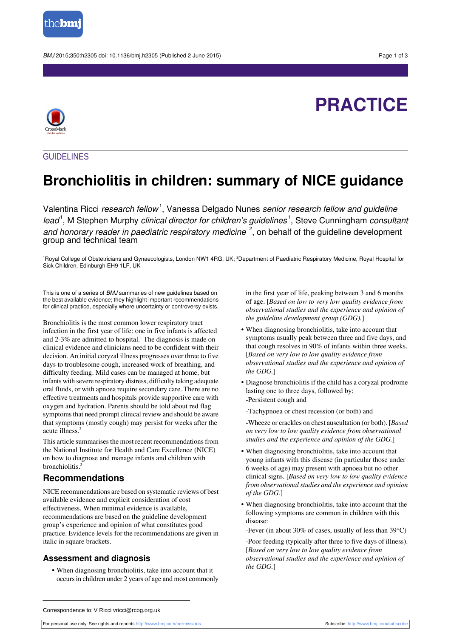

BMJ 2015;350:h2305 doi: 10.1136/bmj.h2305 (Published 2 June 2015) Page 1 of 3

# **PRACTICE**



# GUIDELINES

# **Bronchiolitis in children: summary of NICE guidance**

Valentina Ricci *research fellow*<sup>1</sup>, Vanessa Delgado Nunes *senior research fellow and guideline* lead<sup>1</sup>, M Stephen Murphy clinical director for children's guidelines<sup>1</sup>, Steve Cunningham consultant and honorary reader in paediatric respiratory medicine  $2$ , on behalf of the guideline development group and technical team

<sup>1</sup>Royal College of Obstetricians and Gynaecologists, London NW1 4RG, UK; <sup>2</sup>Department of Paediatric Respiratory Medicine, Royal Hospital for Sick Children, Edinburgh EH9 1LF, UK

This is one of a series of BMJ summaries of new guidelines based on the best available evidence; they highlight important recommendations for clinical practice, especially where uncertainty or controversy exists.

Bronchiolitis is the most common lower respiratory tract infection in the first year of life: one in five infants is affected and  $2-3\%$  are admitted to hospital.<sup>1</sup> The diagnosis is made on clinical evidence and clinicians need to be confident with their decision. An initial coryzal illness progresses over three to five days to troublesome cough, increased work of breathing, and difficulty feeding. Mild cases can be managed at home, but infants with severe respiratory distress, difficulty taking adequate oral fluids, or with apnoea require secondary care. There are no effective treatments and hospitals provide supportive care with oxygen and hydration. Parents should be told about red flag symptoms that need prompt clinical review and should be aware that symptoms (mostly cough) may persist for weeks after the acute illness.<sup>2</sup>

This article summarises the most recent recommendations from the National Institute for Health and Care Excellence (NICE) on how to diagnose and manage infants and children with bronchiolitis.<sup>3</sup>

# **Recommendations**

NICE recommendations are based on systematic reviews of best available evidence and explicit consideration of cost effectiveness. When minimal evidence is available, recommendations are based on the guideline development group's experience and opinion of what constitutes good practice. Evidence levels for the recommendations are given in italic in square brackets.

# **Assessment and diagnosis**

**•** When diagnosing bronchiolitis, take into account that it occurs in children under 2 years of age and most commonly

in the first year of life, peaking between 3 and 6 months of age. [*Based on low to very low quality evidence from observational studies and the experience and opinion of the guideline development group (GDG).*]

- **•** When diagnosing bronchiolitis, take into account that symptoms usually peak between three and five days, and that cough resolves in 90% of infants within three weeks. [*Based on very low to low quality evidence from observational studies and the experience and opinion of the GDG.*]
- **•** Diagnose bronchiolitis if the child has a coryzal prodrome lasting one to three days, followed by: -Persistent cough and
	- -Tachypnoea or chest recession (or both) and

-Wheeze or crackles on chest auscultation (or both). [*Based on very low to low quality evidence from observational studies and the experience and opinion of the GDG.*]

- **•** When diagnosing bronchiolitis, take into account that young infants with this disease (in particular those under 6 weeks of age) may present with apnoea but no other clinical signs. [*Based on very low to low quality evidence from observationalstudies and the experience and opinion of the GDG.*]
- **•** When diagnosing bronchiolitis, take into account that the following symptoms are common in children with this disease:

-Fever (in about 30% of cases, usually of less than 39°C)

-Poor feeding (typically after three to five days of illness). [*Based on very low to low quality evidence from observational studies and the experience and opinion of the GDG.*]

Correspondence to: V Ricci vricci@rcog.org.uk

For personal use only: See rights and reprints<http://www.bmj.com/permissions> Subscribe: <http://www.bmj.com/subscribe>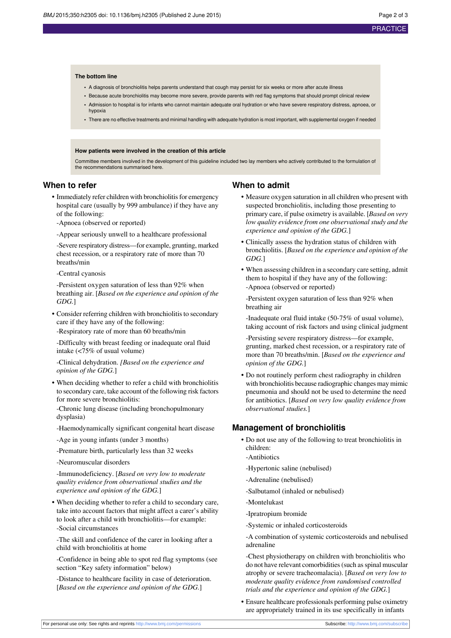#### **The bottom line**

- **•** A diagnosis of bronchiolitis helps parents understand that cough may persist for six weeks or more after acute illness
- **•** Because acute bronchiolitis may become more severe, provide parents with red flag symptoms that should prompt clinical review
- **•** Admission to hospital is for infants who cannot maintain adequate oral hydration or who have severe respiratory distress, apnoea, or hypoxia
- **•** There are no effective treatments and minimal handling with adequate hydration is most important, with supplemental oxygen if needed

#### **How patients were involved in the creation of this article**

Committee members involved in the development of this guideline included two lay members who actively contributed to the formulation of the recommendations summarised here.

#### **When to refer**

• Immediately refer children with bronchiolitis for emergency hospital care (usually by 999 ambulance) if they have any of the following:

-Apnoea (observed or reported)

-Appear seriously unwell to a healthcare professional

-Severe respiratory distress—for example, grunting, marked chest recession, or a respiratory rate of more than 70 breaths/min

-Central cyanosis

-Persistent oxygen saturation of less than 92% when breathing air. [*Based on the experience and opinion of the GDG.*]

• Consider referring children with bronchiolitis to secondary care if they have any of the following:

-Respiratory rate of more than 60 breaths/min

-Difficulty with breast feeding or inadequate oral fluid intake (<75% of usual volume)

-Clinical dehydration. *[Based on the experience and opinion of the GDG.*]

**•** When deciding whether to refer a child with bronchiolitis to secondary care, take account of the following risk factors for more severe bronchiolitis:

-Chronic lung disease (including bronchopulmonary dysplasia)

-Haemodynamically significant congenital heart disease

- -Age in young infants (under 3 months)
- -Premature birth, particularly less than 32 weeks

-Neuromuscular disorders

-Immunodeficiency. [*Based on very low to moderate quality evidence from observational studies and the experience and opinion of the GDG.*]

**•** When deciding whether to refer a child to secondary care, take into account factors that might affect a carer's ability to look after a child with bronchiolitis—for example: -Social circumstances

-The skill and confidence of the carer in looking after a child with bronchiolitis at home

-Confidence in being able to spot red flag symptoms (see section "Key safety information" below)

-Distance to healthcare facility in case of deterioration. [*Based on the experience and opinion of the GDG.*]

#### **When to admit**

- **•** Measure oxygen saturation in all children who present with suspected bronchiolitis, including those presenting to primary care, if pulse oximetry is available. [*Based on very low quality evidence from one observational study and the experience and opinion of the GDG.*]
- **•** Clinically assess the hydration status of children with bronchiolitis. [*Based on the experience and opinion of the GDG.*]
- **•** When assessing children in a secondary care setting, admit them to hospital if they have any of the following: -Apnoea (observed or reported)

-Persistent oxygen saturation of less than 92% when breathing air

-Inadequate oral fluid intake (50-75% of usual volume), taking account of risk factors and using clinical judgment

-Persisting severe respiratory distress—for example, grunting, marked chest recession, or a respiratory rate of more than 70 breaths/min. [*Based on the experience and opinion of the GDG.*]

**•** Do not routinely perform chest radiography in children with bronchiolitis because radiographic changes may mimic pneumonia and should not be used to determine the need for antibiotics. [*Based on very low quality evidence from observational studies.*]

### **Management of bronchiolitis**

- **•** Do not use any of the following to treat bronchiolitis in children:
	- -Antibiotics
	- -Hypertonic saline (nebulised)
	- -Adrenaline (nebulised)
	- -Salbutamol (inhaled or nebulised)
	- -Montelukast
- -Ipratropium bromide
- -Systemic or inhaled corticosteroids

-A combination of systemic corticosteroids and nebulised adrenaline

-Chest physiotherapy on children with bronchiolitis who do not have relevant comorbidities(such asspinal muscular atrophy or severe tracheomalacia). [*Based on very low to moderate quality evidence from randomised controlled trials and the experience and opinion of the GDG.*]

**•** Ensure healthcare professionals performing pulse oximetry are appropriately trained in its use specifically in infants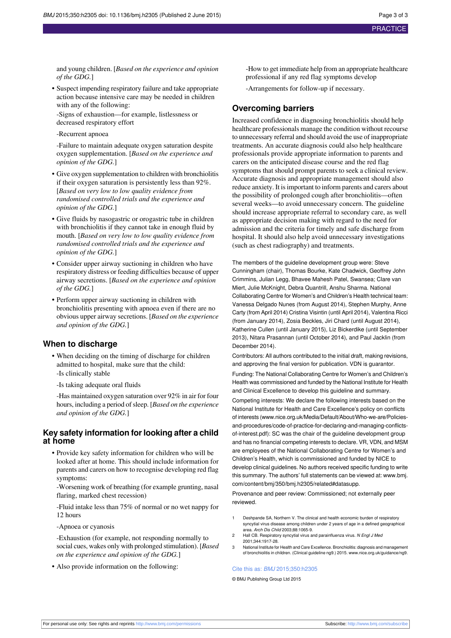and young children. [*Based on the experience and opinion of the GDG.*]

**•** Suspect impending respiratory failure and take appropriate action because intensive care may be needed in children with any of the following:

-Signs of exhaustion—for example, listlessness or decreased respiratory effort

-Recurrent apnoea

-Failure to maintain adequate oxygen saturation despite oxygen supplementation. [*Based on the experience and opinion of the GDG.*]

- **•** Give oxygen supplementation to children with bronchiolitis if their oxygen saturation is persistently less than 92%. [*Based on very low to low quality evidence from randomised controlled trials and the experience and opinion of the GDG.*]
- **•** Give fluids by nasogastric or orogastric tube in children with bronchiolitis if they cannot take in enough fluid by mouth. [*Based on very low to low quality evidence from randomised controlled trials and the experience and opinion of the GDG.*]
- **•** Consider upper airway suctioning in children who have respiratory distress or feeding difficulties because of upper airway secretions. [*Based on the experience and opinion of the GDG.*]
- **•** Perform upper airway suctioning in children with bronchiolitis presenting with apnoea even if there are no obvious upper airway secretions. [*Based on the experience and opinion of the GDG.*]

### **When to discharge**

- **•** When deciding on the timing of discharge for children admitted to hospital, make sure that the child: -Is clinically stable
	- -Is taking adequate oral fluids

-Has maintained oxygen saturation over 92% in air for four hours, including a period ofsleep. [*Based on the experience and opinion of the GDG.*]

### **Key safety information for looking after a child at home**

**•** Provide key safety information for children who will be looked after at home. This should include information for parents and carers on how to recognise developing red flag symptoms:

-Worsening work of breathing (for example grunting, nasal flaring, marked chest recession)

-Fluid intake less than 75% of normal or no wet nappy for 12 hours

-Apnoea or cyanosis

-Exhaustion (for example, not responding normally to social cues, wakes only with prolonged stimulation). [*Based on the experience and opinion of the GDG.*]

**•** Also provide information on the following:

-How to get immediate help from an appropriate healthcare professional if any red flag symptoms develop

-Arrangements for follow-up if necessary.

# **Overcoming barriers**

Increased confidence in diagnosing bronchiolitis should help healthcare professionals manage the condition without recourse to unnecessary referral and should avoid the use of inappropriate treatments. An accurate diagnosis could also help healthcare professionals provide appropriate information to parents and carers on the anticipated disease course and the red flag symptoms that should prompt parents to seek a clinical review. Accurate diagnosis and appropriate management should also reduce anxiety. It is important to inform parents and carers about the possibility of prolonged cough after bronchiolitis—often several weeks—to avoid unnecessary concern. The guideline should increase appropriate referral to secondary care, as well as appropriate decision making with regard to the need for admission and the criteria for timely and safe discharge from hospital. It should also help avoid unnecessary investigations (such as chest radiography) and treatments.

The members of the guideline development group were: Steve Cunningham (chair), Thomas Bourke, Kate Chadwick, Geoffrey John Crimmins, Julian Legg, Bhavee Mahesh Patel, Swansea; Clare van Miert, Julie McKnight, Debra Quantrill, Anshu Sharma. National Collaborating Centre for Women's and Children's Health technical team: Vanessa Delgado Nunes (from August 2014), Stephen Murphy, Anne Carty (from April 2014) Cristina Visintin (until April 2014), Valentina Ricci (from January 2014), Zosia Beckles, Jiri Chard (until August 2014), Katherine Cullen (until January 2015), Liz Bickerdike (until September 2013), Nitara Prasannan (until October 2014), and Paul Jacklin (from December 2014).

Contributors: All authors contributed to the initial draft, making revisions, and approving the final version for publication. VDN is guarantor. Funding: The National Collaborating Centre for Women's and Children's Health was commissioned and funded by the National Institute for Health and Clinical Excellence to develop this guideline and summary.

Competing interests: We declare the following interests based on the National Institute for Health and Care Excellence's policy on conflicts of interests ([www.nice.org.uk/Media/Default/About/Who-we-are/Policies](http://www.nice.org.uk/Media/Default/About/Who-we-are/Policies-and-procedures/code-of-practice-for-declaring-and-managing-conflicts-of-interest.pdf)[and-procedures/code-of-practice-for-declaring-and-managing-conflicts](http://www.nice.org.uk/Media/Default/About/Who-we-are/Policies-and-procedures/code-of-practice-for-declaring-and-managing-conflicts-of-interest.pdf)[of-interest.pdf](http://www.nice.org.uk/Media/Default/About/Who-we-are/Policies-and-procedures/code-of-practice-for-declaring-and-managing-conflicts-of-interest.pdf)): SC was the chair of the guideline development group and has no financial competing interests to declare. VR, VDN, and MSM are employees of the National Collaborating Centre for Women's and Children's Health, which is commissioned and funded by NICE to develop clinical guidelines. No authors received specific funding to write this summary. The authors' full statements can be viewed at: [www.bmj.](http://www.bmj.com/content/bmj/350/bmj.h2305/related#datasupp) [com/content/bmj/350/bmj.h2305/related#datasupp](http://www.bmj.com/content/bmj/350/bmj.h2305/related#datasupp).

Provenance and peer review: Commissioned; not externally peer reviewed.

- 1 Deshpande SA, Northern V. The clinical and health economic burden of respiratory syncytial virus disease among children under 2 years of age in a defined geographical area. Arch Dis Child 2003;88:1065-9.
- 2 Hall CB. Respiratory syncytial virus and parainfluenza virus. N Engl J Med 2001;344:1917-28.
- 3 National Institute for Health and Care Excellence. Bronchiolitis: diagnosis and management of bronchiolitis in children. (Clinical guideline ng9.) 2015. [www.nice.org.uk/guidance/ng9](http://www.nice.org.uk/guidance/ng9).

#### Cite this as: BMJ 2015;350:h2305

© BMJ Publishing Group Ltd 2015